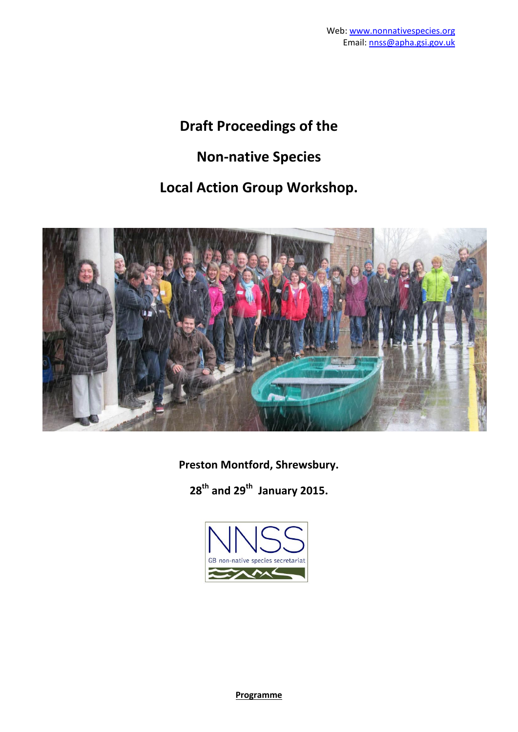# **Draft Proceedings of the**

# **Non-native Species**

## **Local Action Group Workshop.**



**Preston Montford, Shrewsbury.**

**28th and 29th January 2015.**



**Programme**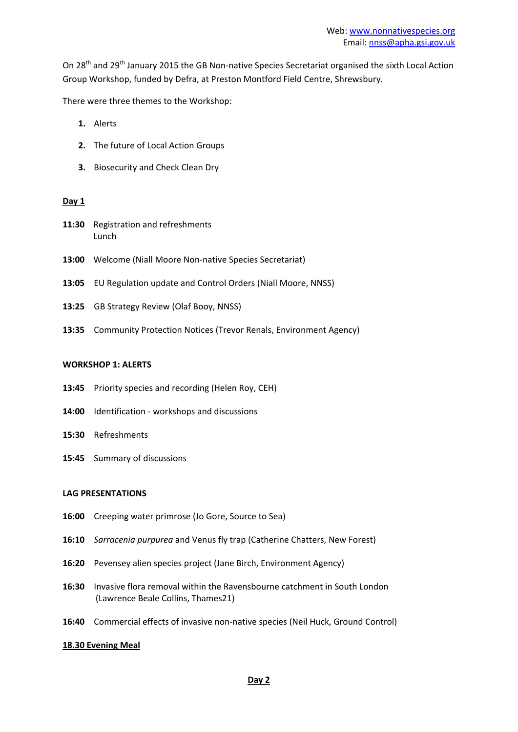On 28<sup>th</sup> and 29<sup>th</sup> January 2015 the GB Non-native Species Secretariat organised the sixth Local Action Group Workshop, funded by Defra, at Preston Montford Field Centre, Shrewsbury.

There were three themes to the Workshop:

- **1.** Alerts
- **2.** The future of Local Action Groups
- **3.** Biosecurity and Check Clean Dry

#### **Day 1**

- 11:30 Registration and refreshments Lunch
- **13:00** Welcome (Niall Moore Non-native Species Secretariat)
- **13:05** EU Regulation update and Control Orders (Niall Moore, NNSS)
- **13:25** GB Strategy Review (Olaf Booy, NNSS)
- **13:35** Community Protection Notices (Trevor Renals, Environment Agency)

#### **WORKSHOP 1: ALERTS**

- **13:45** Priority species and recording (Helen Roy, CEH)
- **14:00** Identification workshops and discussions
- **15:30** Refreshments
- **15:45** Summary of discussions

#### **LAG PRESENTATIONS**

- **16:00** Creeping water primrose (Jo Gore, Source to Sea)
- **16:10** *Sarracenia purpurea* and Venus fly trap (Catherine Chatters, New Forest)
- **16:20** Pevensey alien species project (Jane Birch, Environment Agency)
- **16:30** Invasive flora removal within the Ravensbourne catchment in South London (Lawrence Beale Collins, Thames21)
- **16:40** Commercial effects of invasive non-native species (Neil Huck, Ground Control)

#### **18.30 Evening Meal**

#### **Day 2**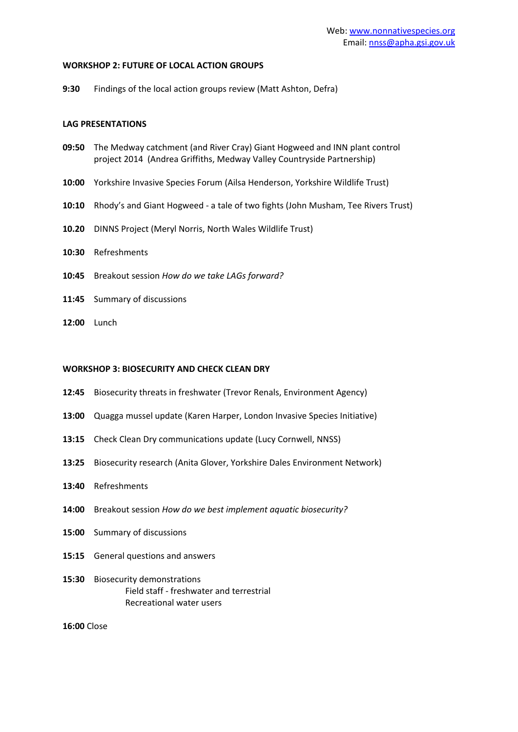#### **WORKSHOP 2: FUTURE OF LOCAL ACTION GROUPS**

**9:30** Findings of the local action groups review (Matt Ashton, Defra)

#### **LAG PRESENTATIONS**

- **09:50** The Medway catchment (and River Cray) Giant Hogweed and INN plant control project 2014 (Andrea Griffiths, Medway Valley Countryside Partnership)
- **10:00** Yorkshire Invasive Species Forum (Ailsa Henderson, Yorkshire Wildlife Trust)
- **10:10** Rhody's and Giant Hogweed a tale of two fights (John Musham, Tee Rivers Trust)
- **10.20** DINNS Project (Meryl Norris, North Wales Wildlife Trust)
- **10:30** Refreshments
- **10:45** Breakout session *How do we take LAGs forward?*
- **11:45** Summary of discussions
- **12:00** Lunch

### **WORKSHOP 3: BIOSECURITY AND CHECK CLEAN DRY**

- **12:45** Biosecurity threats in freshwater (Trevor Renals, Environment Agency)
- **13:00** Quagga mussel update (Karen Harper, London Invasive Species Initiative)
- **13:15** Check Clean Dry communications update (Lucy Cornwell, NNSS)
- **13:25** Biosecurity research (Anita Glover, Yorkshire Dales Environment Network)
- **13:40** Refreshments
- **14:00** Breakout session *How do we best implement aquatic biosecurity?*
- **15:00** Summary of discussions
- **15:15** General questions and answers
- **15:30** Biosecurity demonstrations Field staff - freshwater and terrestrial Recreational water users

**16:00** Close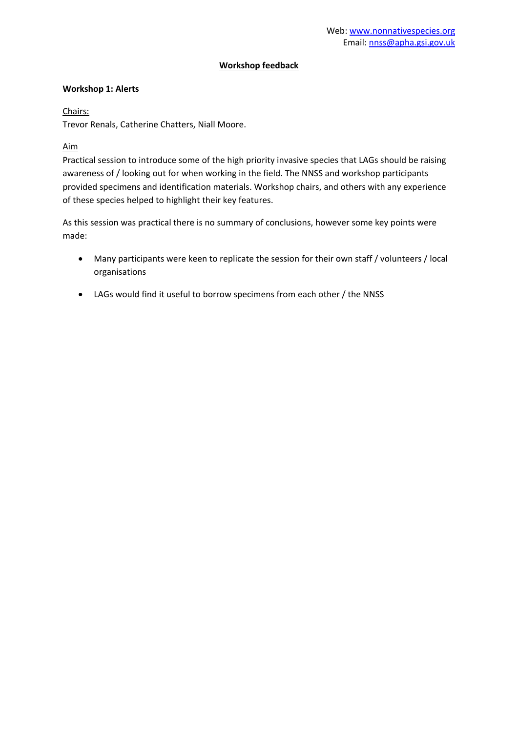#### **Workshop feedback**

#### **Workshop 1: Alerts**

Chairs:

Trevor Renals, Catherine Chatters, Niall Moore.

## Aim

Practical session to introduce some of the high priority invasive species that LAGs should be raising awareness of / looking out for when working in the field. The NNSS and workshop participants provided specimens and identification materials. Workshop chairs, and others with any experience of these species helped to highlight their key features.

As this session was practical there is no summary of conclusions, however some key points were made:

- Many participants were keen to replicate the session for their own staff / volunteers / local organisations
- LAGs would find it useful to borrow specimens from each other / the NNSS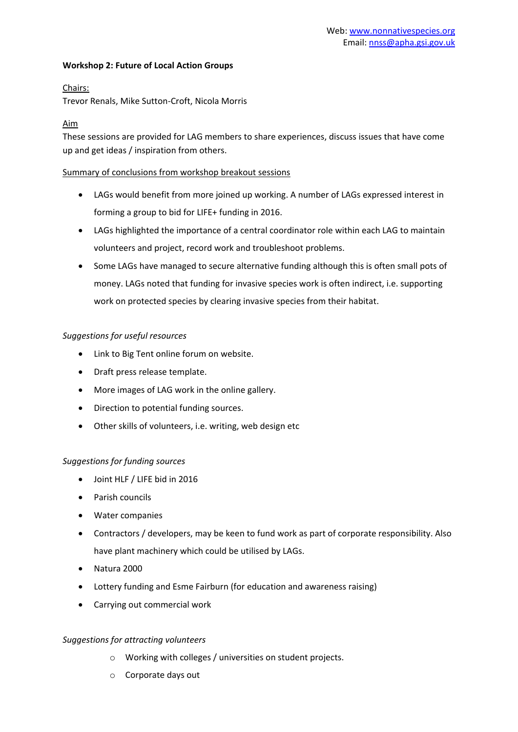#### **Workshop 2: Future of Local Action Groups**

### Chairs:

Trevor Renals, Mike Sutton-Croft, Nicola Morris

### Aim

These sessions are provided for LAG members to share experiences, discuss issues that have come up and get ideas / inspiration from others.

#### Summary of conclusions from workshop breakout sessions

- LAGs would benefit from more joined up working. A number of LAGs expressed interest in forming a group to bid for LIFE+ funding in 2016.
- LAGs highlighted the importance of a central coordinator role within each LAG to maintain volunteers and project, record work and troubleshoot problems.
- Some LAGs have managed to secure alternative funding although this is often small pots of money. LAGs noted that funding for invasive species work is often indirect, i.e. supporting work on protected species by clearing invasive species from their habitat.

#### *Suggestions for useful resources*

- Link to Big Tent online forum on website.
- Draft press release template.
- More images of LAG work in the online gallery.
- Direction to potential funding sources.
- Other skills of volunteers, i.e. writing, web design etc

#### *Suggestions for funding sources*

- Joint HLF / LIFE bid in 2016
- Parish councils
- Water companies
- Contractors / developers, may be keen to fund work as part of corporate responsibility. Also have plant machinery which could be utilised by LAGs.
- Natura 2000
- Lottery funding and Esme Fairburn (for education and awareness raising)
- Carrying out commercial work

## *Suggestions for attracting volunteers*

- o Working with colleges / universities on student projects.
- o Corporate days out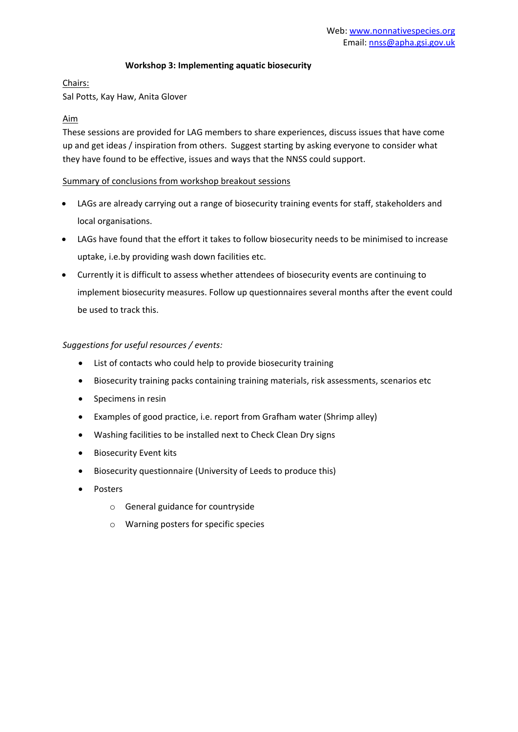#### **Workshop 3: Implementing aquatic biosecurity**

#### Chairs:

Sal Potts, Kay Haw, Anita Glover

### Aim

These sessions are provided for LAG members to share experiences, discuss issues that have come up and get ideas / inspiration from others. Suggest starting by asking everyone to consider what they have found to be effective, issues and ways that the NNSS could support.

#### Summary of conclusions from workshop breakout sessions

- LAGs are already carrying out a range of biosecurity training events for staff, stakeholders and local organisations.
- LAGs have found that the effort it takes to follow biosecurity needs to be minimised to increase uptake, i.e.by providing wash down facilities etc.
- Currently it is difficult to assess whether attendees of biosecurity events are continuing to implement biosecurity measures. Follow up questionnaires several months after the event could be used to track this.

## *Suggestions for useful resources / events:*

- List of contacts who could help to provide biosecurity training
- Biosecurity training packs containing training materials, risk assessments, scenarios etc
- Specimens in resin
- Examples of good practice, i.e. report from Grafham water (Shrimp alley)
- Washing facilities to be installed next to Check Clean Dry signs
- **•** Biosecurity Event kits
- Biosecurity questionnaire (University of Leeds to produce this)
- Posters
	- o General guidance for countryside
	- o Warning posters for specific species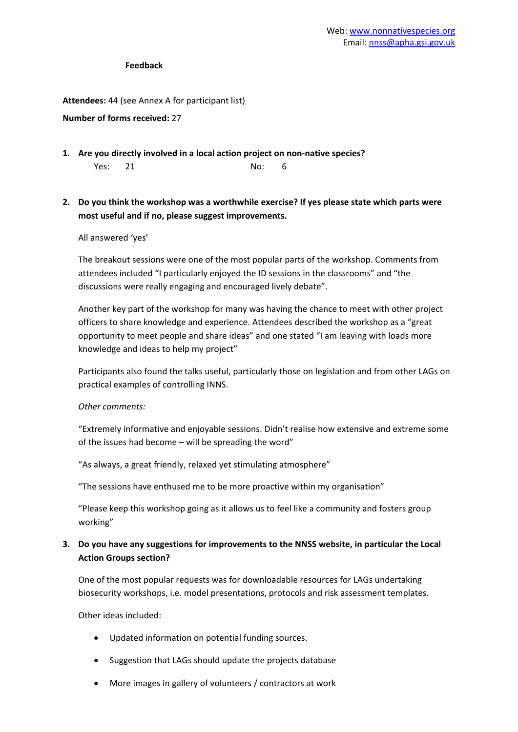#### **Feedback**

**Attendees:** 44 (see Annex A for participant list)

#### **Number of forms received:** 27

**1. Are you directly involved in a local action project on non-native species?** Yes: 21 No: 6

## **2. Do you think the workshop was a worthwhile exercise? If yes please state which parts were most useful and if no, please suggest improvements.**

#### All answered 'yes'

The breakout sessions were one of the most popular parts of the workshop. Comments from attendees included "I particularly enjoyed the ID sessions in the classrooms" and "the discussions were really engaging and encouraged lively debate".

Another key part of the workshop for many was having the chance to meet with other project officers to share knowledge and experience. Attendees described the workshop as a "great opportunity to meet people and share ideas" and one stated "I am leaving with loads more knowledge and ideas to help my project"

Participants also found the talks useful, particularly those on legislation and from other LAGs on practical examples of controlling INNS.

#### *Other comments:*

"Extremely informative and enjoyable sessions. Didn't realise how extensive and extreme some of the issues had become – will be spreading the word"

"As always, a great friendly, relaxed yet stimulating atmosphere"

"The sessions have enthused me to be more proactive within my organisation"

"Please keep this workshop going as it allows us to feel like a community and fosters group working"

## **3. Do you have any suggestions for improvements to the NNSS website, in particular the Local Action Groups section?**

One of the most popular requests was for downloadable resources for LAGs undertaking biosecurity workshops, i.e. model presentations, protocols and risk assessment templates.

Other ideas included:

- Updated information on potential funding sources.
- Suggestion that LAGs should update the projects database
- More images in gallery of volunteers / contractors at work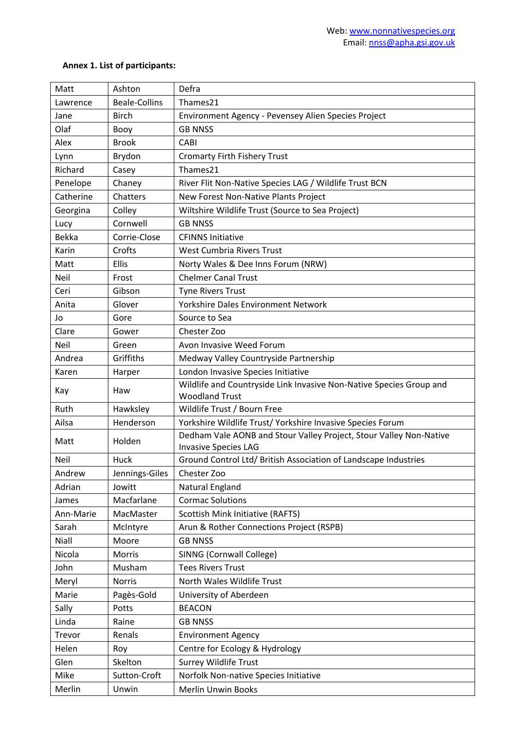## **Annex 1. List of participants:**

| Matt         | Ashton               | Defra                                                               |
|--------------|----------------------|---------------------------------------------------------------------|
| Lawrence     | <b>Beale-Collins</b> | Thames21                                                            |
| Jane         | <b>Birch</b>         | Environment Agency - Pevensey Alien Species Project                 |
| Olaf         | Booy                 | <b>GB NNSS</b>                                                      |
| Alex         | <b>Brook</b>         | CABI                                                                |
| Lynn         | Brydon               | <b>Cromarty Firth Fishery Trust</b>                                 |
| Richard      | Casey                | Thames21                                                            |
| Penelope     | Chaney               | River Flit Non-Native Species LAG / Wildlife Trust BCN              |
| Catherine    | Chatters             | New Forest Non-Native Plants Project                                |
| Georgina     | Colley               | Wiltshire Wildlife Trust (Source to Sea Project)                    |
| Lucy         | Cornwell             | <b>GB NNSS</b>                                                      |
| <b>Bekka</b> | Corrie-Close         | <b>CFINNS Initiative</b>                                            |
| Karin        | Crofts               | West Cumbria Rivers Trust                                           |
| Matt         | <b>Ellis</b>         | Norty Wales & Dee Inns Forum (NRW)                                  |
| Neil         | Frost                | <b>Chelmer Canal Trust</b>                                          |
| Ceri         | Gibson               | <b>Tyne Rivers Trust</b>                                            |
| Anita        | Glover               | Yorkshire Dales Environment Network                                 |
| Jo           | Gore                 | Source to Sea                                                       |
| Clare        | Gower                | Chester Zoo                                                         |
| <b>Neil</b>  | Green                | Avon Invasive Weed Forum                                            |
| Andrea       | Griffiths            | Medway Valley Countryside Partnership                               |
| Karen        | Harper               | London Invasive Species Initiative                                  |
| Kay          | Haw                  | Wildlife and Countryside Link Invasive Non-Native Species Group and |
|              |                      | <b>Woodland Trust</b>                                               |
| Ruth         | Hawksley             | Wildlife Trust / Bourn Free                                         |
| Ailsa        | Henderson            | Yorkshire Wildlife Trust/ Yorkshire Invasive Species Forum          |
| Matt         | Holden               | Dedham Vale AONB and Stour Valley Project, Stour Valley Non-Native  |
|              |                      | <b>Invasive Species LAG</b>                                         |
| Neil         | Huck                 | Ground Control Ltd/ British Association of Landscape Industries     |
| Andrew       | Jennings-Giles       | Chester Zoo                                                         |
| Adrian       | Jowitt               | Natural England                                                     |
| James        | Macfarlane           | <b>Cormac Solutions</b>                                             |
| Ann-Marie    | MacMaster            | Scottish Mink Initiative (RAFTS)                                    |
| Sarah        | McIntyre             | Arun & Rother Connections Project (RSPB)                            |
| Niall        | Moore                | <b>GB NNSS</b>                                                      |
| Nicola       | Morris               | SINNG (Cornwall College)                                            |
| John         | Musham               | <b>Tees Rivers Trust</b>                                            |
| Meryl        | <b>Norris</b>        | North Wales Wildlife Trust                                          |
| Marie        | Pagès-Gold           | University of Aberdeen                                              |
| Sally        | Potts                | <b>BEACON</b>                                                       |
| Linda        | Raine                | <b>GB NNSS</b>                                                      |
| Trevor       | Renals               | <b>Environment Agency</b>                                           |
| Helen        | Roy                  | Centre for Ecology & Hydrology                                      |
| Glen         | Skelton              | <b>Surrey Wildlife Trust</b>                                        |
| Mike         | Sutton-Croft         | Norfolk Non-native Species Initiative                               |
| Merlin       | Unwin                | Merlin Unwin Books                                                  |